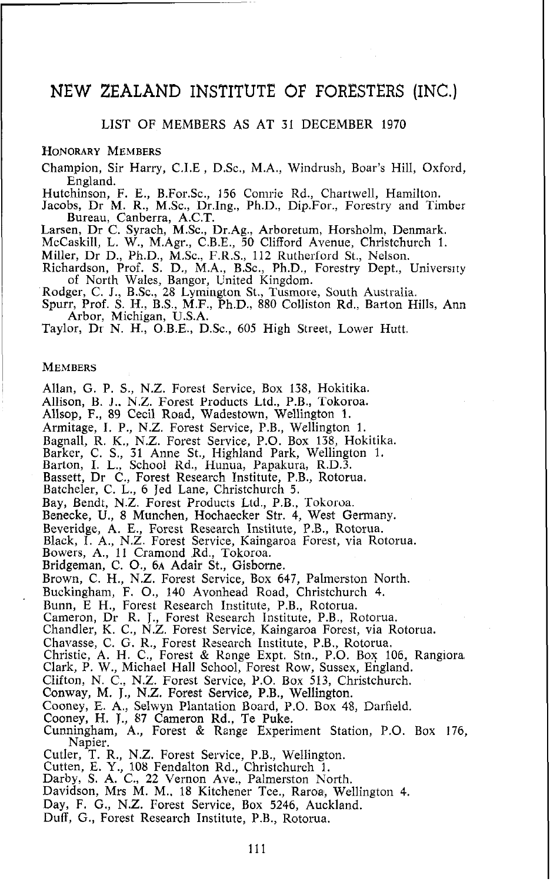# NEW ZEALAND INSTITUTE **OF** FORESTERS (INC.)

# LIST OF MEMBERS AS AT 31 DECEMBER 1970

## HONORARY MEMBERS

Champion, Sir Harry, C.I.E, DSc., M.A., Windrush, Boar's Hill, Oxford, England.

Hutchinson, F. E., B.For.Sc., 156 Comrie Rd., Chartwell, Hamilton.

Jacobs, Dr M. R., M.Sc., Dr.Ing., Ph.D., Dip.For., Forestry and Timber Bureau, Canberra, **ACT.**  Larsen, Dr C. Syrach, M.Sc., Dr.Ag., Arboretum, Horsholm, Denmark.

McCaskill, L. W., M.Agr., C.B.E., 50 Clifford Avenue, Christchurch 1.

Miller, Dr D., Ph.D., M.Sc., F.R.S., 112 Rutherford St., Nelson.

Richardson, Prof. S. D., M.A., B.Sc., Ph.D., Forestry Dept., University of North Wales, Bangor, United Kingdom.<br>Rodger, C. J., B.Sc., 28 Lymington St., Tusmore, South Australia.

Spurr, Prof. S. **II.,** B.S., M.F., Ph.D., 880 Colliston Rd., Barton Hills, Ann Arbor, Michigan, USA.

Taylor, DI **N.** H., O.B.E., D.Sc., 605 High Street, Lower Hutt.

#### **MEMBERS**

Allan, G. P. S., N.Z. Forest Service, Box 138, Hokitika.

Allison, B. **J.. N.Z.** Forest Products Ltd., P.B., Tokoroa.

Allsop, F., 89 Cecil Road, Wadestown, Wellington 1.

Armitage, I. P., N.Z. Forest Service, P.B., Wellington 1.

Bagnall, R. K., N.Z. Forest Service, P.O. Box 138, Hokitika. Barker, C. S., 31 Anne St., Highland Park, Wellington 1.

Barton, I. L., School Rd., Hunua, Papakura, R.D.3.

Bassett, Dr C., Forest Research Institute, P.B., Rotorua.

Batcheler, C. L., 6 Jed Lane, Christchurch 5.

Bay, Bendt, N.Z. Forest Products Ltd., P.B., Tokoroa.

Benecke, **U.,** 8 Munchen, Hochaecker Str. 4, West Germany.

Beveridge, A. E., Forest Research Institute, P.B., Rotorua.

Black, I. A., N.Z. Forest Service, Kaingaroa Forest, via Rotorua. Bowers, A., 11 Cramond Rd., Tokoroa. Bridgeman, C. O., 6A Adair St., Gisbome.

Brown, C. H., N.Z. Forest Service, Box 647, Palmerston North.

Buckingham, F. O., 140 Avonhead Road, Christchurch 4.

Bunn, E H., Forest Research Institute, P.B., Rotorua.

Cameron, Dr R. J., Forest Kesearch Institute, P.B., Rotorua.

Chandler, K. C., N.Z. Forest Service, Kaingaroa Forest, via Rotorua.

Chavasse, C. G. R., Forest Research Institute, P.B., Rotorua.

Christie, A. H. C., Forest & Range Expt. Stn., P.O. Box 106, Rangiora,

Clark, P. W., Michael Hall School, Forest Row, Sussex, England.

Clifton, N. C., N.Z. Forest Service, P.O. Box 513, Christchurch.

Conway, M. J., N.Z. Forest Service, P.B., Wellington.

Cooney, E. **A.,** Selwyn Plantation Board, P.O. Box 48, Darfieid.

Cooney, H. **T.,** 87 Cameron Rd., Te Puke.

Cunningham, A., Forest & Ronge Experiment Station, P.O. Box 176, Napier.

Cutler, T. R., N.Z. Forest Service, P.B., Wellington.

Cutten, E. Y., 108 Fendalton Rd., Christchurch 1.

Darby, S. A. C., 22 Vernon Ave., Palmerston North.

Davidson, Mrs M. M.. 18 Kitchener Tce., Raroa, Wellington 4.

Day, F. G., N.Z. Forest Service, Box 5246, Auckland.

Duff, G., Forest Research Institute, P.B., Rotorua.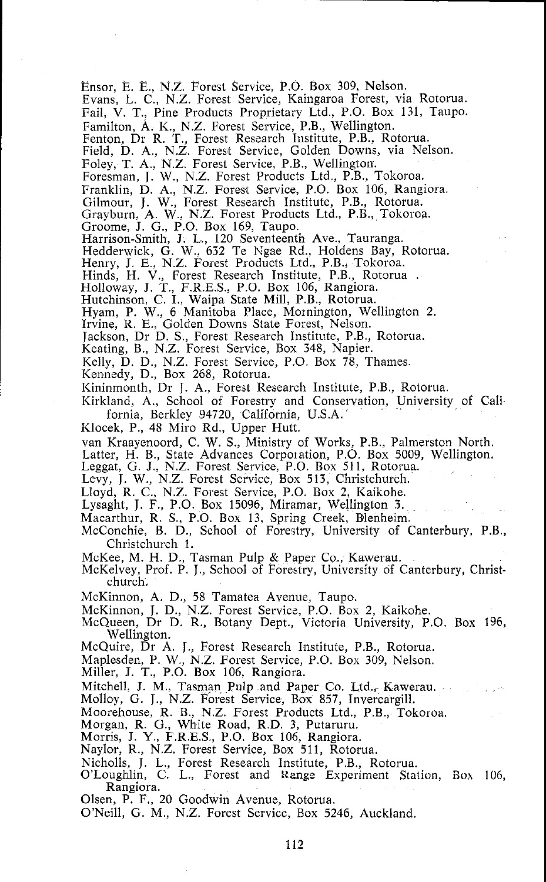Ensor, E. E., N.Z. Forest Service, P.O. Box 309, Nelson.

Evans, L. C., N.Z. Forest Service, Kaingaroa Forest, via Rotorua.

Fail, V. T., Pine Products Proprietary Ltd., P.O. Box 131, Taupo.

Familton, A. K., N.Z. Forest Service, P.B., Wellington.

Fenton, Dr R. **'T.,** Forest Research Institute, P.B., Rotorua.

Field, D. A., N.Z. Forest Service, Golden Downs, via Nelson.

Foley, T. A., N.Z. Forest Service, P.B., Wellington.

Foresman, J. W., N.Z. Forest Products Ltd., P.B., Tokoroa.

Franklin, D. **A,,** N.Z. Forest Service, P.O. Box 106, Rangiora.

Gilmour, J. W., Forest Research Institute, P.B., Rotorua.

Grayburn, A. W., N.Z. Forest Products Ltd., P.B., Tokoroa.<br>Groome, J. G., P.O. Box 169, Taupo.

Harrison-Smith, J. L., 120 Seventeenth Ave., Tauranga.

Hedderwick, G. W., 632 Te Ngae Rd., Holdens Bay, Rotorua.<br>Henry, J. E., N.Z. Forest Products Ltd., P.B., Tokoroa.<br>Hinds, H. V., Forest Research Institute, P.B., Rotorua .<br>Holloway, J. T., F.R.E.S., P.O. Box 106, Rangiora.

Hutchinson, C. I., Waipa State Mill, P.B., Rotorua.

Hyam, P. W., 6 Manitoba Place, Mornington, Wellington 2.<br>Irvine, R. E., Golden Downs State Forest, Nelson.

Jackson, Dr D. S., Forest Research Institute, P.B., Rotorua.

Keating, B., N.Z. Forest Service, Box 348, Napier.

Kelly, D. D., N.Z. Forest Service, P.O. Box 78, Thames

Kennedy, D., Box 268, Rotorua.

Kininmonth, Dr J. A., Forest Research Institute, P.B., Rotorua.

Kirkland, A., School of Forestry and Conservation, University of Cali fomia, Berkley 94720, California, U.S.A.

Klocek, P., 48 Miro Rd., Upper Hutt.

van Kraayenoord, C. W. S., Ministry of Works, P.B., Palmerston North.

Latter, H. B., State Advances Corpoiation, P.O. Box 5009, Wellington. Leggat, *G.* J., N.Z. Forest Service, P.O. Box 511, Rotorua.

Levy, J. W., N.Z. Forest Service, Box 513, Christchurch.

Lloyd, R. C., N.Z. Forest Service, P.O. Box 2, Kaikohe.

Lysaght, J. F., P.O. Box 15096, Mirsmar, Wellington 3.

Macarthur, R. S., P.O. Box 13, Spring Creek, Blenheim

McConchie, B. D., School of Forestry, University of Canterbury, P.B., Christchurch 1.

McKee, M. H. D., Tasman Pulp & Paper Co., Kawerau.

McKelvey, Prof. P. J., School of Forestry, University of Canterbury, Christchurch.

McKinnon, A. D., 58 Tamatea Avenue, Taupo.

McKinnon, J. D., N.Z. Forest Service, P.O. Box 2, Kaikohe.

McQueen, Dr D. R., Botany Dept., Victoria University, P.O. Box 196, Wellington.

McQuire, Dr A. J., Forest Research Institute, P.B., Rotorua.

Maplesden, P. W., N.Z. Forest Service, P.O. Box 309, Nelson.

Miller, J. T., P.O. Box 106, Rangiora.

Mitchell, J. M., Tasman Pulp and Paper Co. Ltd., Kawerau.

Molloy, G. J., N.Z. Forest Service, Box 857, Invercargill.

Moorehouse, R. B., N.Z. Forest Products Ltd., P.B., Tokoroa.<br>Morgan, R. G., White Road, R.D. 3, Putaruru.

Morris, J. Y., F.R.E.S., P.O. Box 106, Rangiora.

Naylor, R., N.Z. Forest Service, Box 511, Rotorua.

Nicholls, J. L., Forest Research Institute, P.B., Rotorua.

O'Loughlin, *C.* L., Forest and **Rage** Experiment Station, Box 106, Rangiora.

Olsen, P. F., 20 Goodwin Avenue, Rotorua.

O'Neill, G. M., N.Z. Forest Service, Box 5246, Auckland.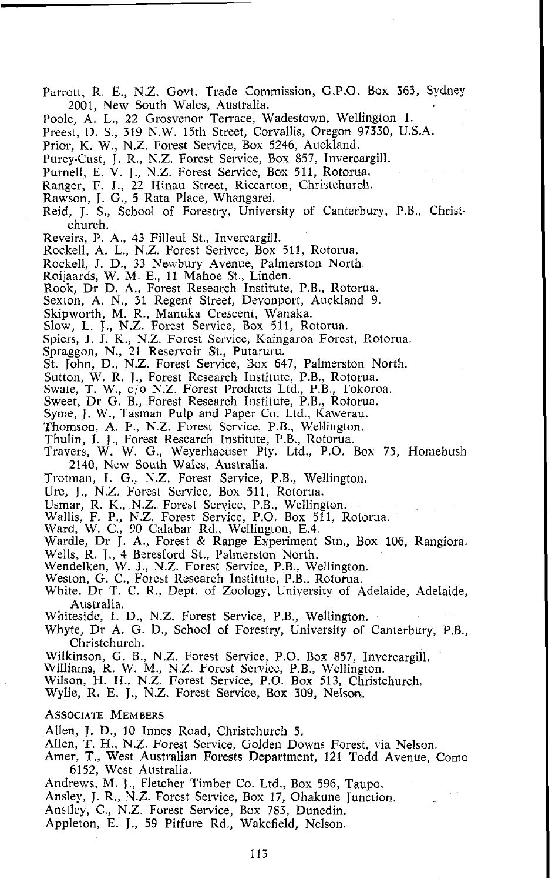- Parrott, R. E., N.Z. Govt. Trade Commission, G.P.O. Box 365, Sydney 2001, New South Wales, Australia.
- Poole, A. L., 22 Grosvenor Terrace, Wadestown, Wellington 1.
- Preest, D. S., 319 N.W. 15th Street, Corvallis, Oregon 97330, U.S.A.
- Prior, K. W., N.Z. Forest Service, Box 5246, Auckland.
- Purey-Cust, J. R., N.Z. Forest Service, Box 857, Invercargill.
- Purnell, E. V. J., N.Z. Forest Service, Box 511, Rotorua.
- Ranger, F. J., 22 Hinau Street, Riccarton, Christchurch.
- Rawson, J. G., 5 Rata Place, Whangarei.
- Reid, J. S., School of Forestry, University of Canterbury, P.B., Christchurch.
- Reveirs, P. A., 43 Filleul St., Invercargill.
- Rockell, A. L., N.Z. Forest Serivce, Box 511, Rotorua.
- Rockell, J. D., 33 Newbury Avenue, Palmerston North.
- Roijaards, W. **M.** E., 11 Mahoe St., Linden.
- Rook, Dr D. A., Forest Research Institute, P.B., Rotorua.
- Sexton, A. N., 31 Regent Street, Devonport, Auckland 9.
- Skipworth, M. R., Manuka Crescent, Wanaka.
- Slow, L. J., N.Z. Forest Service, Box 511, Rotorua.
- Spiers, J. J. K., N.Z. Forest Service, Kaingaroa Forest, Rotorua.
- Spraggon, N., 21 Reservoir St., Putaruru.
- St. John, D., N.Z. Forest Service, Box 647, Palmerston North.
- Sutton, W. R. J., Forest Research Institute, P.B., Rotorua.
- Swale, T. W., c/o N.Z. Forest Products Ltd., P.B., Tokoroa.
- Sweet, Dr G. B., Forest Research Institute, P.B., Rotorua.
- Syme, J. W., Tasman Pulp and Paper Co. Ltd., Kawerau.
- Thornson, **A.** P., N.Z. Forest Service, P.B., Wellington.
- Thulin, I. J., Forest Research Institute, P.B., Rotorua.
- Travers, W. W. G., Weyerhaeuser Pty. Ltd., P.O. Box 75, Homebush 2140, New South Wales, Australia.
- Trotman, I. G., N.Z. Forest Service, P.B., Wellington.
- Ure, J., N.Z. Forest Service, Box 511, Rotorua.
- 
- 
- 
- Usmar, R. K., N.Z. Forest Service, P.B., Wellington.<br>Wallis, F. P., N.Z. Forest Service, P.O. Box 511, Rotorua.<br>Ward, W. C., 90 Calabar Rd., Wellington, E.4.<br>Wardle, Dr J. A., Forest & Range Experiment Stn., Box 106, Rangi
- Wells, R. J., 4 Bcresford St., Palmerston North.
- Wendelken, W. J., N.Z. Forest Service, P.B., Wellington.
- Weston, G. C., Forest Research Institute, P.B., Rotorua.
- White, Dr T. C. R., Dept. of Zoology, University of Adelaide, Adelaide, Australia.
- Whiteside, I. D., N.Z. Forest Service, P.B., Wellington.
- Whyte, Dr A. G. D., School of Forestry, University of Canterbury, P.B., Christchurch.
- Wilkinson, G. B., N.Z. Forest Service, P.O. Box 857, Invercargill. Williams, R. W. M., N.Z. Forest Service, P.B., Wellington.
- 
- Wilson, H. **H.,** N.Z. Forest Service, P.O. Box 513, Christchurch. Wylie, R. E. J., N.Z. Forest Service, Box 309, Nelson.
- 

## **ASSOCIATE MEMBERS**

- Allen, **J.** D., 10 Innes Road, Christchurch 5.
- Allen, T. H., N.Z. Forest Service, Golden Downs Forest, via Nelson.
- Amer, T., West Australian Forests Department, 121 Todd Avenue, Como 6152, West Australia.
- Andrews, **M.** J., Fletcher Timber Co. Ltd., Box 596, Taupo.
- Ansley, J. R., N.Z. Forest Service, Box 17, Ohakune Junction.
- Anstley, C., N.Z. Forest Service, Box 783, Dunedin.
- Appleton, E. J., 59 Pitfure Rd., Wakefield, Nelson.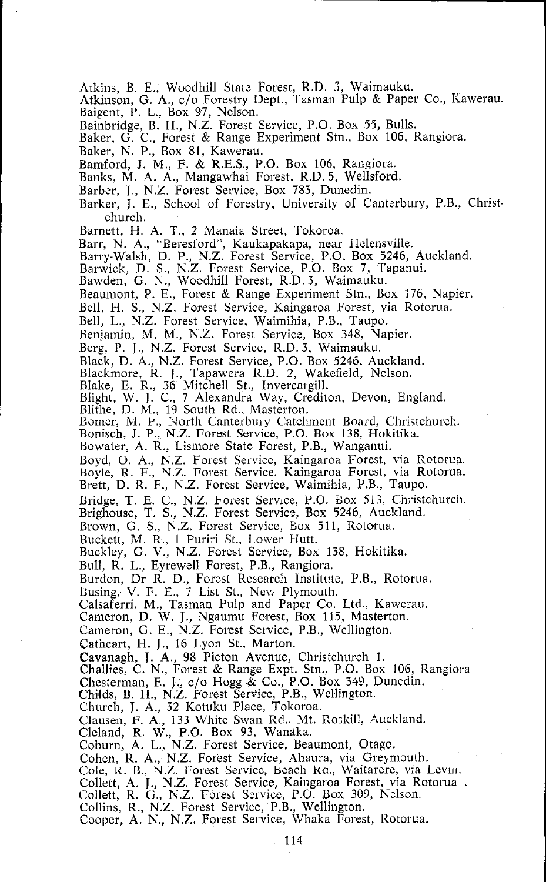Atkins, B. E., Woodhill State Forest, R.D. 3, Waimauku.<br>Atkinson, G. A., c/o Forestry Dept., Tasman Pulp & Paper Co., Kawerau. Baigent, P. L., Box 97, Nelson.

Bainbridgz, B. H., N.Z. Forest Service, P.O. Box *55,* Bulls.

Baker, G. C., Forest & Range Experiment Stn., Box 106, Rangiora.

Baker, N. P., Box 81, Kawerau.

Bamford, J. M., F. & R.E.S., P.O. Box 106, Rangiora.

Banks, M. A. A,, Mangawhai Forest, R.D. 5, Wellsford.

Barber, J., N.Z. Forest Service, Box 783, Dunedin.

Barker, J. E., School of Forestry, University of Canterbury, P.B., Christchurch.

Barnett, H. A. T., 2 Manaia Street, Tokoroa.

Barr, N. A., "Beresford", Kaukapakapa, near Helensville.

Barry-Walsh, D. P., N.Z. Forest Service, P.O. Box 5246, Auckland.

Barwick, D. S., N.Z. Forest Service, P.O. Box 7, Tapanui.

Bawden, G. N., Woodhill Forest, R.D.3, Waimauku.

Beaumont, P. E., Forest & Range Experiment Stn., Box 176, Napier.

Bell, H. S., N.Z. Forest Service, Kaingaroa Forest, via Rotorua.

Bell, L., N.Z. Forest Service, Waimihia, P.B., Taupo.

Benjamin, M. M., N.Z. Forest Service, Box 348, Napier.

Berg, P. J., N.Z. Forest Service, R.D. 3, Waimauku.

Black, D. A., N.Z. Forest Service, P.O. Box 5246, Auckland.

Blackn~ore, R. **T.,** Tapawera R.D. 2, Wakefield, Nelson.

Blake, E. R., 36 Mitchell St., Invercargill. Blight, W. J. C., 7 Alexandra Way, Crediton, Devon, England.

Blithe, D. M., 19 South Rd., Masterton.

Bomer, M. P., North Canterbury Catchment Board, Christchurch.

Bonisch, J. P., N.Z. Forest Service, P.O. Box 138, Hokitika.

Bowater, A. R., Lismore State Forest, P.B., Wanganui.

Boyd, O. A., N.Z. Forest Service, Kaingaroa Forest, via Rotorua.

Boyle, R. F., N.Z. Forest Service, Kaingaroa Forest, via Rotorua.

Brett, D. R. F., N.Z. Forest Service, Waimihia, P.B., Taupo.

Bridge, T. E. C., N.Z. Forest Service, P.O. Box 513, Christchurch.

Brighouse, T. S., N.Z. Forest Servic~, **Box** 5246, Auckland.

Brown, G. S., N.Z. Forest Service, Box 511, Rotorua.

Buckett, M. **K.,** 1 Puriri St., Lower Hutt.

Buckley, G. V., N.Z. Forest Service, Box 138, Hokitika.

Bull, R. L., Eyrewell Forest, P.B., Rangiora.

Burdon, Dr R. D., Forest Research Institute, P.B., Rotorua.

Busing, V. F. E., 7 List St., New Plymouth.

Calsaferri, M., Tasman Pulp and Paper Co. Ltd., Kawerau.

Cameron, D. W. J., Ngaumu Forest, Box 115, Masterton.

Cameron, G. E., N.Z. Forest Service, P.B., Wellington.

Cathcart, H. J., 16 Lyon St., Marton.

Cavanagh, J. A., 98 Picton Avenue, Christchurch 1. Challies, C. N., Forest & Range Expt. Stn., P.O. Box 106, Rangiora

Chesterman, E. J., c/o Hogg *B* Co., P.O. Box 349, Dunedin. Childs, B. H., N.Z. Forest Servicc, P.B., Wellington.

Church, J. A., 32 Kotuku Place, Tokoroa.

Clausen, F. A., 133 White Swan Rd., Mt. Roskill, Auckland.

Cleland, R. W., P.O. Box 93, Wanaka.

Coburn, A. L., N.Z. Forest Service, Beaumont, Otago.

Cohen, R. A., N.Z. Forest Service, Ahaura, via Greymouth.<br>Cole, R. B., N.Z. Forest Service, Beach Rd., Waitarere, via Levin.

Collett, A. J., N.Z. Forest Service, Kaingaroa Forest, via Rotorua .<br>Collett, R. G., N.Z. Forest Service, P.O. Box 309, Nelson.

Collins, R., N.Z. Forest Service, P.B., Wellington.

Cooper, A. N., N.Z. Forest Seivice, Whaka Forest, Rotorua.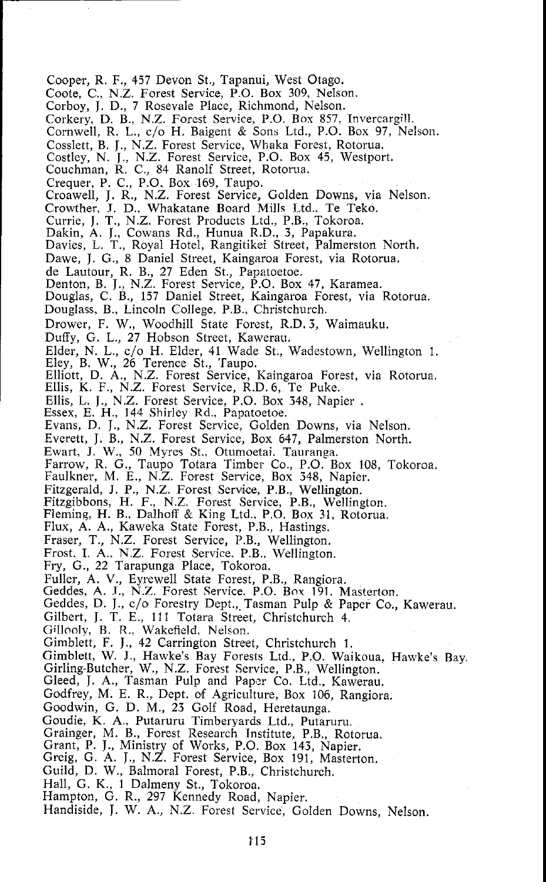Cooper, R. F., 457 Devon St., Tapanui, West Otago.

Coote, C., N.Z. Forest Service, P.O. Box 309, Nelson.

- Corboy, J. D., 7 Rosevale Place, Richmond, Nelson.
- Corkery, D. B., N.Z. Forest Service, P.O. BOY 857, Invercargill.
- Cornwell, R. L., c/o H. Baigent & Sons Ltd., P.O. Box 97, Nelson.
- Cosslett, B. J., N.Z. Forest Service, Whaka Forest, Rotorua.
- Costley, N. J., N.Z. Forest Service, P.O. Box 45, Westport.
- Couchman, R. C., 84 Ranolf Street, Rotorua.
- Crequer, P. C., P.O. Box 169, Taupo.

Croawell, J. R., N.Z. Forest Service, Golden Downs, via Nelson.

Crowther, **T.** D.. Whakatane Board Mills Ltd., Te Teko.

- Currie, J. T., N.Z. Forest Products Ltd., P.B., Tokoroa.
- 
- Dakin, **A.** J., Cowans Rd., Hunua R.D., 3, Papakura. Davies, L. T., Royal Hotel, Rangitikei Street, Palmerston North.

Dawe, J. G., 8 Daniel Street, Kaingaroa Forest, via Rotorua.

- de Lautour, R. B., 27 Eden St., Papatoetoe.
- Denton, B. J., N.Z. Forest Service, P.O. Box 47, Karamea.
- Douglas, C. B., 157 Daniel Street, Kaingaroa Forest, via Rotorua.
- Douglass, B., Lincoln College, P.B., Christchurch.

Drower, F. W., Woodhill State Forest, R.D. 3, Waimauku.

Duffy, G. L., 27 Hobson Street, Kawerau.

Elder, N. L., c/o H. Elder, 41 Wade St., Wadestown, Wellington 1. Eley, B. W., 26 Terence St., Taupo.

Elliott, D. **A.,** N.Z. Forest Service, Kaingaroa Forest, via Rotorua.

Ellis, K. F., N.Z. Forest Service, R.D. 6, Te Puke.

Ellis, L. J., N.Z. Forest Servics, P.O. Box 348, Napier . Essex, E. H., 144 Shirley Rd., Papatoetoe.

Evans, D. J., N.Z. Forest Service, Golden Downs, via Nelson.

Everett, J. B., N.Z. Forest Service, Box 647, Palmerston North.

Ewart, J. W., 50 Myres St.. Otumoetai. Tauranga.

Farrow, R. G., Taupo Totara Timber Co., P.O. Box 108, Tokoroa.

Faulkner, M. E., N.Z. Forest Service, Box 348, Napier.

Fitzgerald, J. P., N.Z. Forest Servioe, P.B., Wellington.

Fitzgibbons, H. F., N.Z. Forest Service, P.B., Wellington. Fleming, H. B., Dalhoff & King Ltd., P.O. Box 31, Rotorua.

- Flux, A. **A.,** Kaweka State Forest, P.B., Hastings.
- Fraser, T., N.Z. Forest Service, P.B., Wellington.
- Frost. I. A., N.Z. Forest Service. P.B., Wellington.
- Fry, G., 22 Tarapunga Place, Tokoroa.
- Fuller, A. V., Eyrewell State Forest, P.B., Rangiora.
- Geddes, A. **T.,** N.Z. Forest Service. P.O. Box 191. Masterton.
- Geddes, D. J., c/o Forestry Dept., Tasman Pulp & Paper Co., Kawerau.
- Gilbert, J. T. E., 111 Totara Street, Christchurch 4.
- Glloolv, **R.** R., Wakefield, Nelson.

Gimblett, F. J., 42 Carrington Street, Christchurch 1.

Gimblett, W. J., Hawke's Bay Forests Ltd., P.O. Waikoua, Hawke's Bay

Girling-Butcher, W., N.Z. Forest Service, P.B., Wellington.

Gleed, J. **A,,** Tasman Pulp and Papor Co. Ltd., Kawerau.

Godfrey, M. E. R., Dept. of Agriculture, Box 106, Rangiora.

- Goodwin, G. D. M., 23 Golf Road, Heretaunga.
- Goudie, K. **A.,** Putaruru Timberyards Ltd., Putaruru.
- Grainger, M. B., Forest Research Institute, P.B., Rotorua.
- Grant, P. J., Ministry of Works, P.O. Box 143, Napier.
- Greig, G. **A.** J., N.Z. Forest Service, Box 191, Masterton.
- Guild, D. W., Balmoral Forest, P.B., Christchurch.
- Hall, G. K., 1 Dalmeny St., Tokoroa.
- Hampton, G. R., 297 Kennedy Road, Napier.
- Handiside, J. W. A., N.Z. Forest Service, Golden Downs, Nelson.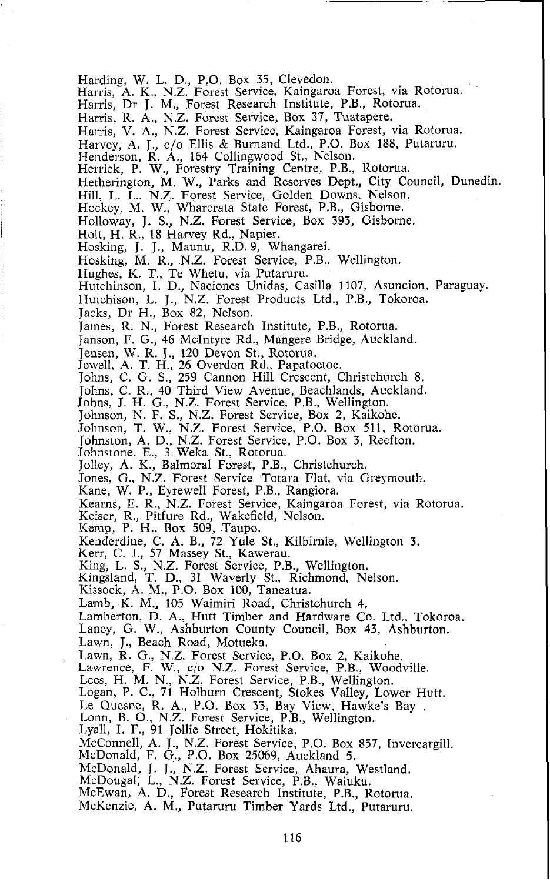Harding, W. L. D., P.O. Box 35, Clevedon.

Harris, A. K., N.Z. Forest Service, Kaingaroa Forest, via Rotorua.

Harris, Dr J. M., Forest Research Institute, P.B., Rotorua.

Harris, R. A., N.Z. Forest Service, Box 37, Tuatapere.

Harris, V. A,, N.Z. Forest Service, Kaingaroa Forest, via Rotorua.

Harvey, A. J., c/o Ellis **d** Burnand Ltd., P.O. Box 188, Putaruru.

Henderson, R. A., 164 Collingwood St., Nelson.

Herrick, P. W., Forestry Training Centre, P.B., Rotorua.

Hetherington, M. W., Parks and Reserves Dept., City Council, Dunedin.

Hill, L. L., N.Z. Forest Service, Golden Downs, Nelson.

Hockey, M. W., Wharerata State Forest, P.B., Gisborne.

Hdloway, J. S., N.Z. Forest Service, Box 393, Gisborne.

Holt, H. R., 18 Harvey Rd., Napier.

Hosking, J. J., Maunu, R.D. 9, Whangarei.

Hosking, M. R., N.Z. Forest Service, P.B., Wellington.

Hughes, K. T., Te Whetu, via Putaruru.

Hutchinson, I. D., Naciones Unidas, Casilla 1107, Asuncion, Paraguay.

Hutchison, L. J., N.Z. Forest Products Ltd., P.B., Tokoroa.

Jacks, Dr H., Box 82, Nelson.

James, R. N., Forest Research Institute, P.B., Rotorua.

Janson, F. G., 46 McIntyre Rd., Mangere Bridge, Auckland.

Jensen, W. R. J., 120 Devon St., Rotorua. Jewell, A. T. H., 26 Overdon Rd., Papatoetoe.

Johns, C. G. S., 259 Cannon Hill Crescent, Christchurch 8.

Johns, C. R., 40 Third View Avenue, Beachlands, Auckland.

Johns, J. H. G., N.Z. Forest Service, P.B., Wellington.

Johnson, N. F. S., N.Z. Forest Service, Box 2, Kaikohe.

Johnson, T. W., N.Z. Forest Service, P.O. Box 511, Rotorua.

Johnston, A. D., N.Z. Forest Service, P.O. Box 3, Reefton. Johnstone, E., 3 Weka St., Rotorua.

Jolley, **A.** K., Balmoral Forest, P.B., Christchurch.

Jones, G., N.Z. Forest Service Totara Flat, via Greymouth.

Kane, W. P., Eyrewell Forest, P.B., Rangiora.

Kearns, E. R., N.Z. Forest Service, Kaingaroa Forest, via Rotorua.

Keiser, R., Pitfure Rd., Wakefield, Nelson.

Kemp, P. H., Box 509, Taupo.

Kenderdine, C. A. B., 72 Yule St., Kilbirnie, Wellington **3.**  Kerr, C. J., 57 Massey St., Kawerau.

King, L. S., N.Z. Forest Service, P.B., Wellington. Kingsland, T. D., 31 Waverly St., Richmond, Nelson.

Kissock, A. M., **P.O.** Box 100, Taneatua.

Lamb, K. M., 105 Waimiri Road, Christchurch 4.

Lamberton, D. A., Hutt Timber and Hardware Co. Ltd.. Tokoroa.

Laney, G. W., Ashburton County Council, Box **43,** Ashburton.

Lawn, J., Beach Road, Motueka.

Lawn, R. G., N.Z. Forest Service, P.O. Box 2, Kaikohe.

Lawrence, F. W., c/o N.Z. Forest Service, P.B., Woodville.

Lees, H. M. N., N.Z. Forest Service, P.B., Wellington.

Logan, P. C., 71 Holburn Crescent, Stokes Valley, Lower Hutt.

Le Quesne, R. A., P.O. Box 33, Bay View, Hawke's Bay .<br>Lonn, B. O., N.Z. Forest Service, P.B., Wellington. Lyall, I. F., 91 Jollie Street, Hokitika.<br>McConnell, A. J., N.Z. Forest Service, P.O. Box 857, Invercargill. McConnell, A. J., N.Z. Forest Service, P.O. Box 857, Invercargill. McDonald, F. G., P.O. Box 25069, Auckland 5.

McDonald, J. J., N.Z. Forest Service, Ahaura, Westland. McDougal, L., N.Z. Forest Service, P.B., Waiuku.

McEwan, A. D., Forest Research Institute, P.B., Rotorua.

McKenzie, A. M., Putaruru Timber Yards Ltd., Putaruru.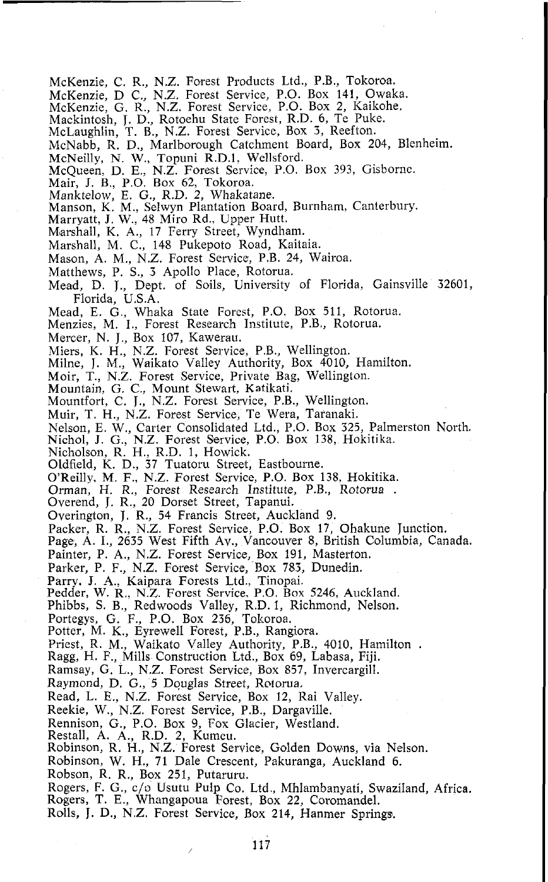- McKenzie, C. R., N.Z. Forest Products Ltd., P.B., Tokoroa.
- McKenzie, D C,, N.Z. Forest Service, P.O. Box **141,** Owaka.
- McKenzie, G. R., N.Z. Forest Service, P.O. Box **2,** Kaikohe.
- Mackintosh, **J.** D., Rotoehu State Forest, R.D. **6,** Te Puke.
- McLaughlin, T. B., N.Z. Fo~est Service, Box **3,** Reefton.
- McNabb, R. D., Marlborough Catchment Board, Box **204,** Blenheim.
- McNeilly, N. W., Topuni R.D.1, Wellsford.
- McQueen, D. E., N.Z. Forest Servioe, P.O. Box 393, Gisbornc.
- Mair, J. B., P.O. Box **62,** Tokoroa.
- Manktelow, **E.** G., R.D. **2,** Whakatane.
- Manson, **K.** M., Selwyn Plantation Board, Burnham, Canterbury.
- Marryatt, J. W., **48** Miro Rd., Upper Hutt.
- Marshall, K. A., **17** Ferry Street, Wyndham.
- Marshall, M. C., **148** Pukepoto Road, Kaitaia.
- Mason, A. M., N.Z. Forest Service, P.B. **24,** Wairoa.
- Matthews, **P.** S., **3** Apollo Place, Rotoma.
- Mead, D. J., Dept. of Soils, University of Florida, Gainsville **32601,**  Florida, U.S.A.
- Mead, E. G, Whaka State Forest, P.O. Box **511,** Rotorua. Menzies, **M.** I., Forest Research Institute, P.B., Rotorua.
- 
- Mercer, N. J., Box **107,** Kawerau.
- Miers, K. H., N.Z. Forest Service, P.B., Wellington.
- Milne, J. M., Waikato Valley Authority, Box **4010,** Hamilton.
- Moir, T., N.Z. Forest Service, Private Bag, Wellington.
- Mountain, G. C., Mount Stewart, Katikati.
- Mountfort, C. J., N.Z. Forest Service, P.B., Wellington.
- Muir, T. H., N.Z. Forest Service, Te Wera, Taranaki.
- Nelson, E. W., Carter Consolidated Ltd., P.O. Box **325,** Palmerston North. Nichol, J. G., N.Z. Forest Service, P.O. Box **138,** Hokitika.
- 
- Nicholson, R. H., R.D. **1,** Howick.
- Oldfeld, **K.** D., **37** Tuatoru Street, Eastbourne.
- O'Reillv, M. **F.,** N.Z. Forest Service, P.O. Box **138,** Hokitika.
- Orman, **H.** R., Forest Research Institute, P.B., Rotorua . Overend, J. R., **20** Dorset Street, Tapanui.
- 
- Overingtan, J. R., **54** Francis Street, Auckland **9.**
- Packer, R. R., N.Z. Forest Service, P.O. Box **17,** Ohakune Junction.
- Page, A. I., **2635** West Fifth Av., Vancouver **8,** British Columbia, Canada.
- Painter, P. A., N.Z. Forest Service, Box **191,** Masterton.
- Parker, P. F., N.Z. Forest Service, Box **783,** Dunedin.
- 
- Parry. **J. .4.,** Kaipara Forests Ltd., Tinopai. Pedder, W. R., N.Z. Forest Service, P.O. Box **5246,** Auckland.
- Phibbs, S. B., Redwoods Valley, R.D. **1,** Richmond, Nelson.
- Portegys, G. F., P.O. Box **236,** Tokoroa.
- Potter, M. K., Eyrewell Forest, P.B., Rangiora.
- Priest, R. M., Waikato Valley Authority, P.B., **4010,** Hamilton . Ragg, H. F., Mills Construction Ltd., Box **69,** Labasa, Fiji.
- 
- Ramsay, G. L., N.Z. Forest Service, Box **857,** Invercargill.
- Raymond, D. G., **5** Douglas Street, Rotorua.
- Read, L. E., N.Z. Forest Service, Box **12,** Rai Valley.
- Reekie, W., N.Z. Forest Service, P.B., Dargaville.
- Rennison, G., P.O. Box **9,** Fox Glacier, westland. Restall, A. **A.,** R.D. **2,** Kumeu.
- 
- Robinson, R. H., N.Z. Forest Service. Golden Downs. via Nelson.
- Robinson, W. H., **71** Dale Crescent, Pakuranga, Auckland **6.**
- Robson, R. R., Box **251,** Putaruru.
- Rogers, F. G., c/o Usutu Pulp Co. Ltd., Mhlambanyati, Swaziland, Africa.
- Rogers, T. E., Whangapoua Forest, Box **22,** Coromandel.
- Rolls, **J.** D., N.Z. Forest Service, Box **214,** Hanmer Springs.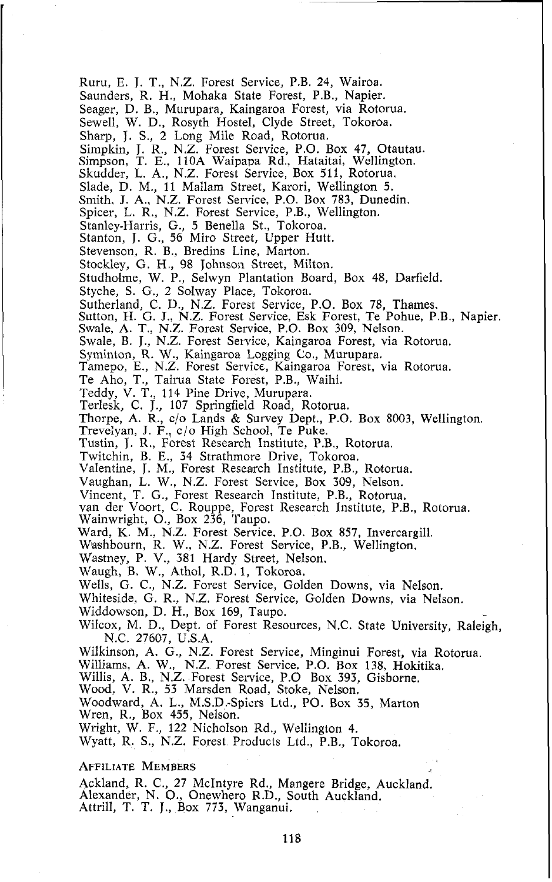Ruru, E. J. T., N.Z. Forest Service, P.B. 24, Wairoa. Saunders, R. H., Mohaka State Forest, P.B., Napier. Seager, D. B., Murupara, Kaingaroa Forest, via Rotorua. Sewell, W. D., Rosyth Hostel, Clyde Street, Tokoroa. Sharp, J. S., 2 Long Mile Road, Rotoma. Simpkin, J. R., N.Z. Forest Service, P.O. Box 47, Otautau. Simpson, T. E., 110A Waipapa Rd., Hataitai, Wellington. Skudder, L. A., N.Z. Forest Service, Box 511, Rotorua. Slade, D. M., 11 Mallam Street, Karori, Wellington 5. Smith. J. A,, N.Z. Forest Service, P.O. Box 783, Dunedin. Spicer, L. R., N.Z. Forest Service, P.B., Wellington. Stanley-Harris, G., 5 Benella St., Tokoroa. Stanton, J. G., 56 Miro Street, Upper Hutt. Stevenson, R. B., Bredins Line, Marton. Stockley, G. H., 98 Johnson Street, Milton. Studholme, W. P., Selwyn Plantation Board, Box 48, Darfield. Styche, S. G., 2 Salway Place, Tokoroa. Sutherland, C. D., N.Z. Forest Service, P.O. Box 78, Thames. Sutton, H. G. J., N.Z. Forest Service, Esk Forest, Te Pohue, P.B., Napier. Swale, A. T., N.Z. Forest Servioe, P.O. Box 309, Nelson. Swale, B. J., N.Z. Forest Service, Kaingaroa Forest, via Rotorua. Syminton, R. W., Kaingaroa Logging Co., Murupara. Tamepo, E., N.Z. Forest Service, Kaingaroa Forest, via Rotorua. Te Aho, T., Tairua State Forest, P.B., Waihi. Teddy, V. T., 114 Pine Drive, Murupara. Terlesk, C. J., 107 Springfield Road, Rotorua. Thorpe, A. R., c/o Lands & Survey Dept., P.O. Box 8003, Wellington. Treveiyan, J. F., c/o High School, Te Puke. Tustin, J. R., Forest Research Institute, P.B., Rotorua. Twitchin, B. E., 34 Strathmore Drive, Tokoroa. Valentine, J. M., Forest Research Institute, P.B., Rotorua. Vaughan, L. W., N.Z. Forest Service, Box 309, Nelson. Vincent, T. G., Forest Research Institute, P.B., Rotorua. van der Voort, C. Rouppe. Forest Research Institute, P.B., Rotorua. Wainwright, O., Box 236, 'Taupo. Ward, K. M., N.Z. Forest Service, P.O. Box 857, Invercargill. Washbourn, R. W., N.Z. Forest Service, P.B., Wellington. Wastney, P. V., 381 Hardy Street, Nelson. Waugh, B. W., Athol, R.D. 1, Tokoroa. Wells, G. C., N.Z. Forest Service, Golden Downs, via Nelson. Whiteside, G. R., N.Z. Forest Service, Golden Downs, via Nelson. Widdowson, D. H., Box 169, Taupo. Wilcox, M. D., Dept. of Forest Resources, N.C. State University, Raleigh, N.C. 27607, U.S.A. Wilkinson, **A.** G., N.Z. Forest Service, Minginui Forest, via Rotorua. Williams, A. W., N.Z. Forest Service, P.O. Box 138, Hokitika. Willis, A. B., N.Z. Forest Service, P.0 Box 393, Gisborne. Wood, V. R., 53 Marsden Road, Stoke, Nelson. Woodward, A. L., M.S.D.-Spiers Ltd., PO. Box 35, Marton Wren, R,, Box 455, Nelson. Wright, W. F., 122 NichoIson Rd., Wellington 4. Wyatt, R. S., N.Z. Forest Products Ltd., P.B., Tokoroa. **AFFILIATE MEMBERS** Ackland, R. C., 27 McIntyre Rd., Mangere Bridge, Auckland. Alexander, N. O., Onewhero R.D., South Auckland. Attrill, T. T. J., Box 773, Wanganui.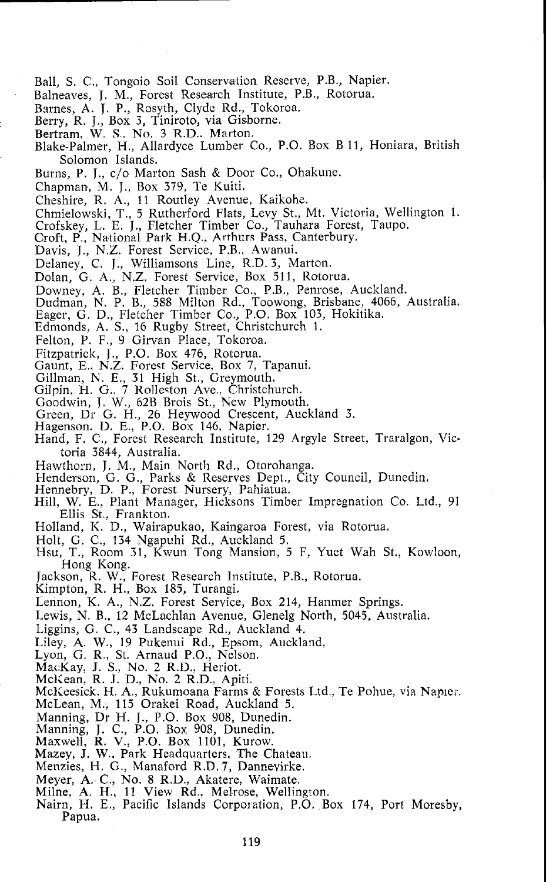- Ball, S. C., Tongoio Soil Conservation Reserve, P.B., Napier.
- Balneaves, J. M., Forest Research Institute, P.B., Rotorua.
- Barnes, A. J. P., Rosyth, Clyde Rd., Tokoroa.
- Berry, R, J., Box 3, Tiniroto, via Gisborne.
- Bertram, W. S. No. **3** R.D.. Marton.
- Blake-Palmer. H.. Allardvce Lumber Co., P.O. Box B 11, Honiara, British Solomon Islands.
- Burns, P. J., c/o Marton Sash & Door Co., Ohakune.
- Chapman, M. J., Box 379, Te Kuiti.
- Cheshire, R. A., 11 Routley Avenue, Kaikohe.
- Chmielowski, T., 5 Rutherford Flats, Levy St., Mt. Victoria, Wellington 1. Crofskey, L. E. J., Fletcher Timber Co., Tauhara Forest, Taupo. Croft, P., National Park H.Q.. Arthurs Pass, Canterbury.
- 
- 
- Davis, J., N.Z. Forest Service, P.B., Awanui.
- Delaney, C. J., Williamsons Line, R.D. 3, Marton.
- Dolan, G. A., N.Z. Forest Service, Box 511, Rotorua.
- Downey, A. B., Fletcher Timber Co., P.B., Penrose, Auckland.
- Dudman, N. P. B., 588 Milton Rd., Toowong, Brisbane, 4066, Australia.
- Eager, G. D., Fletcher Timber Co., P.O. Box 103, Hokitika.
- Edmonds, A. S., 16 Rugby Street, Christchurch 1.
- Felton, P. F., 9 Girvan Place, Tokoroa.
- 
- Fitzpatrick, J., P.O. Box 476, Rotorua. Gaunt, E., N.Z. Forest Service, Box 7, Tapanui.
- 
- Gillman, N. E., 31 High St., Greymouth.<br>Gilpin, H. G., 7 Rolleston Ave., Christchurch.<br>Goodwin, J. W., 62B Brois St., New Plymouth.
- 
- Goodwin, J. W., 62B Brois St., New Plymouth. Green, Dr G. H., 26 Heywood Crescent, Auckland 3.
- Hagenson. D. E., P.O. Box 146, Napier.
- Hand, F. C., Forest Research Institute, 129 Argyle Street, Traralgon, Victoria 3844, Australia.
- Hawthorn, J. M., Main North Rd., Otorohanga.
- Henderson, G. G., Parks & Reserves Dept., City Council, Dunedin.<br>Hennebry, D. P., Forest Nursery, Pahiatua.
- 
- Hill, W. E., Plant Manager, Hicksons Timber Impregnation Co. Ltd., 91 Ellis St., Frankton.
- Holland, K. D., Wairapukao, Kaingaroa Forest, via Rotorua.
- Holt, G. C., 134 Ngapuhi Rd., Auckland 5.
- Hsu, T., Room 31, Kwun Tong Mansion, 5 F, Yuet Wah St., Kowloon, Hong Kong.
- Tackson. R. W.. Forest Research Institute. P.B.. Rotorua.
- Kimpton, R. H., Box 185, Turangi.
- Lennon, K. A., N.Z. Forest Service, Box 214, Hanmer Springs.
- Lewis, N. B., 12 McLachlan Avenue, Glenelg North, 5045, Australia.
- Liggins, G. C., 43 Landscape Rd., Auckland 4.
- Liley, A. W., 19 Pukenui Rd., Epsom, Auckland,
- Lyon, G. R., St. Arnaud P.O., Nelson.
- MacKay, J. S., No. 2 R.D., Heriot.
- McKean, R. J. D., No. 2 R.D., Apiti.
- McKeesick, H. A., Rukumoana Farms & Forests Ltd., Te Pohue, via Naplei.
- McLean, M., 115 Orakei Road, Auckland **5.**
- Manning, Dr H. J., P.O. Box 908, Dunedin.
- 
- 
- Manning, J. C., P.O. Box 908, Dunedin. Maxwell, R. V., P.O. Box 1101, Kurow. Mazey, J. W., Park Headquarters, The Chateau.
- Menzies, H. G., Manaford R.D. **7,** Dannevirke.
- Meyer, A. C., No. 8 R.D., Akatere, Waimate.
- Milne, A. H., 11 View Rd., Melrose, Wellington.
- Nairn, H. E., Pacific Islands Corporation, P.O. Box 174, Port Moresby, Papua.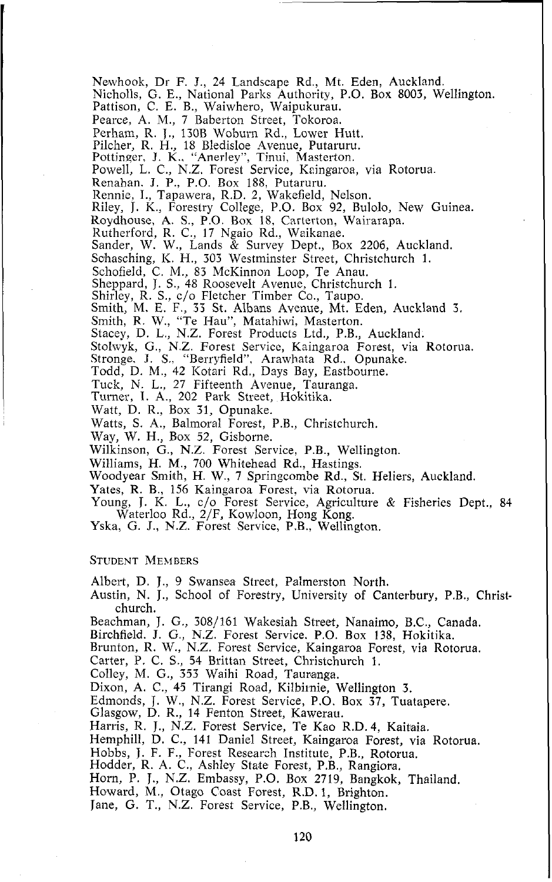Newhook, Dr F. J., 24 Landscape Rd., Mt. Eden, Auckland. Nicholls, G. E., National Parks Authority, P.O. Box 8003, Wellington. Pattison, C. E. B., Waiwhero, Waipukurau. Pearce, A. M., 7 Baberton Street, Tokoroa. Perham, R. J., 130B Woburn Rd., Lower Hutt. Pilcher, R. H., 18 Bledisloe Avenue, Putaruru. Pottinqer, **J.** K., "Anerley", Tinui, Masterton. Powell, L. C., N.Z. Forest Service, Kaingaroa, via Rotorua. Renahan. **J. P.,** P.O. Box 188. Putaruru. Rennie, I., Tapawera, R.D. 2, Wakefield, Nelson. Riley, J. K., Forestry College, P.O. Box 92, Bulolo, New Guinea. Roydhouse, A. S., P.O. Box 18, Carterton, Wairarapa. Rutherford, R. C., 17 Ngaio Rd., Waikanae. Sander, W. W., Lands & Survey Dept., Box 2206, Auckland. Schasching, K. H., 303 Westminster Street, Christchurch 1. Schofield, C. M., 83 McKinnon Loop, Te Anau. Sheppard, J. S., 48 Roosevelt Avenue, Christchurch 1. Shirley, R. S., c/o Fletcher Timber Co., Taupo. Smith, M. E. F., 33 St. Albans Avenue, Mt. Eden, Auckland **3.**  Smith, R. W., "Te Hau", Matahiwi, Masterton. Stacey, D. L., N.Z. Forest Products Ltd., P.B., Auckland. Stolwyk, G., N.Z. Forest Service, Kaingaroa Forest, via Rotorua. Stronge. **J.** S., "Berryfield", Arawhata Rd., Opunake. Todd, D. M., 42 Kotari Rd., Days Bay, Eastbourne. Tuck, N. L., 27 Fifteenth Avenue, Tauranga. Turner, 1. A,, 202 Park Street, Hokitika. Watt, D. R., Box 31, Opunake. Watts, S. A., Balmoral Forest, P.B., Christchurch. Way, W. H., Box 52, Gisborne. Wilkinson, G., N.Z. Forest Service, P.B., Wellington. Williams, H. M., 700 Whitehead Rd., Hastings. Woodyear Smith, H. W., 7 Springcombe Rd., St. Heliers, Auckland.

Yates, R. B., 156 Kaingaroa Forest, via Rotorua.

Young, J. K. L., c/o Forest Service, Agriculture & Fisheries Dept., 84 Waterloo Rd., 2/F, Kowloon, Hong Kong. Yska, G. J., N.Z. Forest Service, P.B., Wellington.

## **STUDENT MEMBERS**

Albert, D. J., 9 Swansea Street, Palmerston North.

Austin, N. J., School of Forestry, University of Canterbury, P.B., Christchurch.

Beachman, J. G., 308/161 Wakesiah Street, Nanaimo, B.C., Canada.

Birchfield. **J.** G., N.Z. Forest Service. P.O. Box 138, Hokitika.

Brunton, R. W., N.Z. Forest Service, Kaingaroa Forest, via Rotorua.

Carter, P. C. S., 54 Brittan Street, Christchurch 1.

Colley, M. G., 353 Waihi Road, Tauranga.

Dixon, A. C., 45 Tirangi Road, Kilbirnie, Wellington 3.

Edmonds, J. W., N.Z. Forest Service, P.O. Box **37,** Tuatapere.

Glasgow, D. R., 14 Fenton Street, Kawerau.

Harris, R. J., N.Z. Forest Service, Te Kao R.D. 4, Kaitaia.

Hemphill, D. C., 141 Daniel Street, Kaingaroa Forest, via Rotorua.

Hobbs, J. F. F., Forest Research Institute, P.B., Rotorua. Hodder, R. A. C., Ashley State Forest, P.B., Rangiora.

Horn, P. J., N.Z. Embassy, P.O. Box 2719, Bangkok, Thailand.

Howard, M., Otago Coast Forest, R.D. I, Brighton.

Jane, G. T., N.Z. Forest Service, P.B., Wellington.